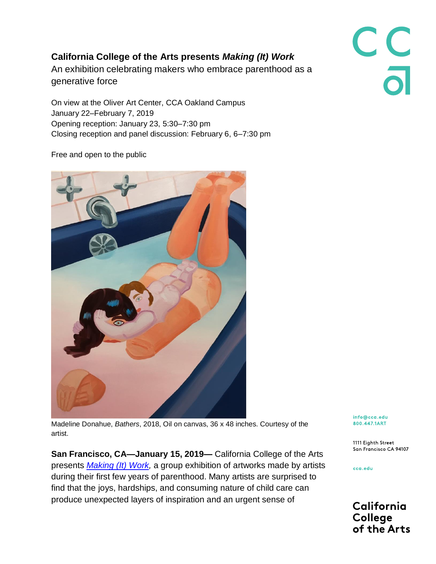## **California College of the Arts presents** *Making (It) Work*

An exhibition celebrating makers who embrace parenthood as a generative force

On view at the Oliver Art Center, CCA Oakland Campus January 22–February 7, 2019 Opening reception: January 23, 5:30–7:30 pm Closing reception and panel discussion: February 6, 6–7:30 pm

Free and open to the public



Madeline Donahue, *Bathers*, 2018, Oil on canvas, 36 x 48 inches. Courtesy of the artist.

**San Francisco, CA—January 15, 2019—** California College of the Arts presents *[Making \(It\) Work,](https://portal.cca.edu/events-calendar/making-it-work/)* a group exhibition of artworks made by artists during their first few years of parenthood. Many artists are surprised to find that the joys, hardships, and consuming nature of child care can produce unexpected layers of inspiration and an urgent sense of

info@cca.edu 800.447.1ART

1111 Eighth Street San Francisco CA 94107

cca.edu

California **College** of the Arts

C<br>C<br>a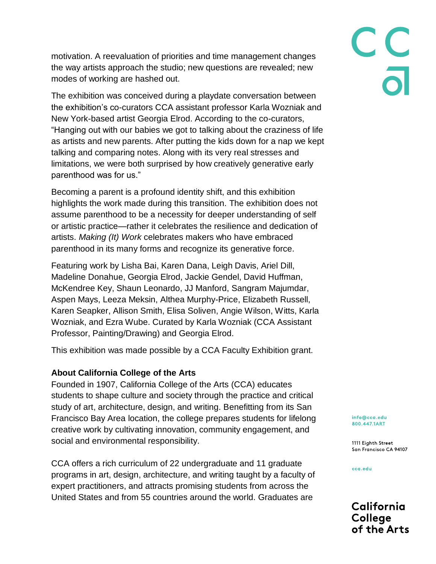motivation. A reevaluation of priorities and time management changes the way artists approach the studio; new questions are revealed; new modes of working are hashed out.

The exhibition was conceived during a playdate conversation between the exhibition's co-curators CCA assistant professor Karla Wozniak and New York-based artist Georgia Elrod. According to the co-curators, "Hanging out with our babies we got to talking about the craziness of life as artists and new parents. After putting the kids down for a nap we kept talking and comparing notes. Along with its very real stresses and limitations, we were both surprised by how creatively generative early parenthood was for us."

Becoming a parent is a profound identity shift, and this exhibition highlights the work made during this transition. The exhibition does not assume parenthood to be a necessity for deeper understanding of self or artistic practice—rather it celebrates the resilience and dedication of artists. *Making (It) Work* celebrates makers who have embraced parenthood in its many forms and recognize its generative force.

Featuring work by Lisha Bai, Karen Dana, Leigh Davis, Ariel Dill, Madeline Donahue, Georgia Elrod, Jackie Gendel, David Huffman, McKendree Key, Shaun Leonardo, JJ Manford, Sangram Majumdar, Aspen Mays, Leeza Meksin, Althea Murphy-Price, Elizabeth Russell, Karen Seapker, Allison Smith, Elisa Soliven, Angie Wilson, Witts, Karla Wozniak, and Ezra Wube. Curated by Karla Wozniak (CCA Assistant Professor, Painting/Drawing) and Georgia Elrod.

This exhibition was made possible by a CCA Faculty Exhibition grant.

## **About California College of the Arts**

Founded in 1907, California College of the Arts (CCA) educates students to shape culture and society through the practice and critical study of art, architecture, design, and writing. Benefitting from its San Francisco Bay Area location, the college prepares students for lifelong creative work by cultivating innovation, community engagement, and social and environmental responsibility.

CCA offers a rich curriculum of 22 undergraduate and 11 graduate programs in art, design, architecture, and writing taught by a faculty of expert practitioners, and attracts promising students from across the United States and from 55 countries around the world. Graduates are

info@cca.edu 800.447.1ART

1111 Eighth Street San Francisco CA 94107

cca.edu

California **College** of the Arts